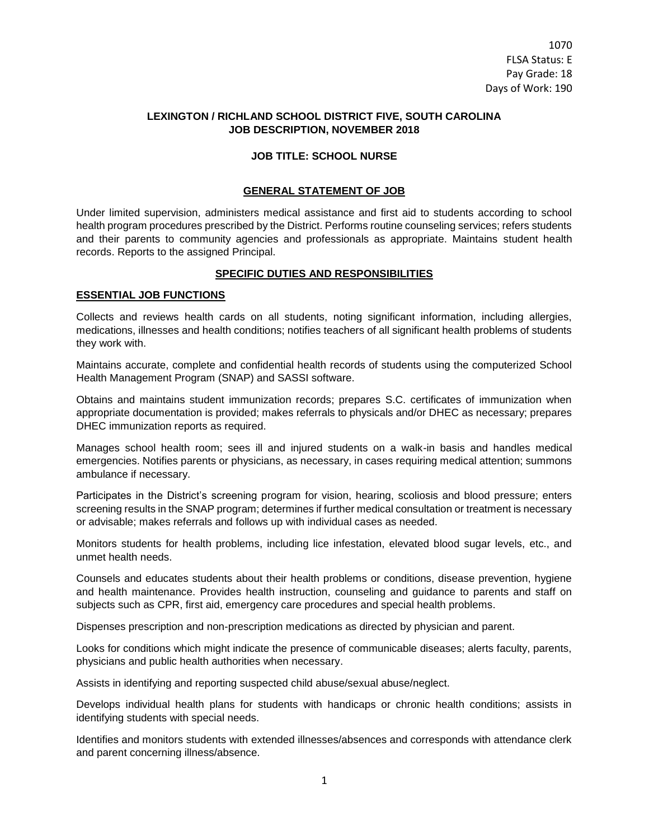## **LEXINGTON / RICHLAND SCHOOL DISTRICT FIVE, SOUTH CAROLINA JOB DESCRIPTION, NOVEMBER 2018**

### **JOB TITLE: SCHOOL NURSE**

#### **GENERAL STATEMENT OF JOB**

Under limited supervision, administers medical assistance and first aid to students according to school health program procedures prescribed by the District. Performs routine counseling services; refers students and their parents to community agencies and professionals as appropriate. Maintains student health records. Reports to the assigned Principal.

### **SPECIFIC DUTIES AND RESPONSIBILITIES**

## **ESSENTIAL JOB FUNCTIONS**

Collects and reviews health cards on all students, noting significant information, including allergies, medications, illnesses and health conditions; notifies teachers of all significant health problems of students they work with.

Maintains accurate, complete and confidential health records of students using the computerized School Health Management Program (SNAP) and SASSI software.

Obtains and maintains student immunization records; prepares S.C. certificates of immunization when appropriate documentation is provided; makes referrals to physicals and/or DHEC as necessary; prepares DHEC immunization reports as required.

Manages school health room; sees ill and injured students on a walk-in basis and handles medical emergencies. Notifies parents or physicians, as necessary, in cases requiring medical attention; summons ambulance if necessary.

Participates in the District's screening program for vision, hearing, scoliosis and blood pressure; enters screening results in the SNAP program; determines if further medical consultation or treatment is necessary or advisable; makes referrals and follows up with individual cases as needed.

Monitors students for health problems, including lice infestation, elevated blood sugar levels, etc., and unmet health needs.

Counsels and educates students about their health problems or conditions, disease prevention, hygiene and health maintenance. Provides health instruction, counseling and guidance to parents and staff on subjects such as CPR, first aid, emergency care procedures and special health problems.

Dispenses prescription and non-prescription medications as directed by physician and parent.

Looks for conditions which might indicate the presence of communicable diseases; alerts faculty, parents, physicians and public health authorities when necessary.

Assists in identifying and reporting suspected child abuse/sexual abuse/neglect.

Develops individual health plans for students with handicaps or chronic health conditions; assists in identifying students with special needs.

Identifies and monitors students with extended illnesses/absences and corresponds with attendance clerk and parent concerning illness/absence.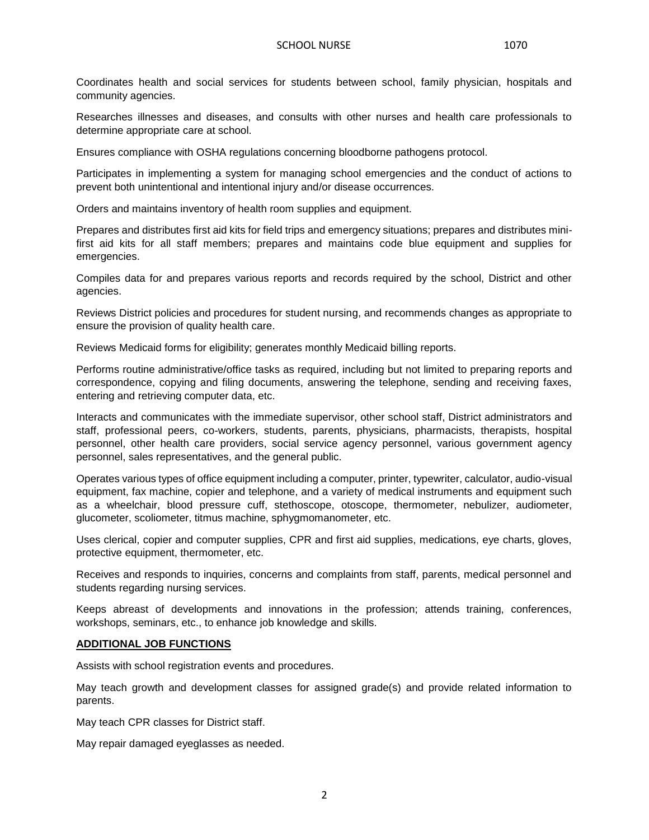Coordinates health and social services for students between school, family physician, hospitals and community agencies.

Researches illnesses and diseases, and consults with other nurses and health care professionals to determine appropriate care at school.

Ensures compliance with OSHA regulations concerning bloodborne pathogens protocol.

Participates in implementing a system for managing school emergencies and the conduct of actions to prevent both unintentional and intentional injury and/or disease occurrences.

Orders and maintains inventory of health room supplies and equipment.

Prepares and distributes first aid kits for field trips and emergency situations; prepares and distributes minifirst aid kits for all staff members; prepares and maintains code blue equipment and supplies for emergencies.

Compiles data for and prepares various reports and records required by the school, District and other agencies.

Reviews District policies and procedures for student nursing, and recommends changes as appropriate to ensure the provision of quality health care.

Reviews Medicaid forms for eligibility; generates monthly Medicaid billing reports.

Performs routine administrative/office tasks as required, including but not limited to preparing reports and correspondence, copying and filing documents, answering the telephone, sending and receiving faxes, entering and retrieving computer data, etc.

Interacts and communicates with the immediate supervisor, other school staff, District administrators and staff, professional peers, co-workers, students, parents, physicians, pharmacists, therapists, hospital personnel, other health care providers, social service agency personnel, various government agency personnel, sales representatives, and the general public.

Operates various types of office equipment including a computer, printer, typewriter, calculator, audio-visual equipment, fax machine, copier and telephone, and a variety of medical instruments and equipment such as a wheelchair, blood pressure cuff, stethoscope, otoscope, thermometer, nebulizer, audiometer, glucometer, scoliometer, titmus machine, sphygmomanometer, etc.

Uses clerical, copier and computer supplies, CPR and first aid supplies, medications, eye charts, gloves, protective equipment, thermometer, etc.

Receives and responds to inquiries, concerns and complaints from staff, parents, medical personnel and students regarding nursing services.

Keeps abreast of developments and innovations in the profession; attends training, conferences, workshops, seminars, etc., to enhance job knowledge and skills.

### **ADDITIONAL JOB FUNCTIONS**

Assists with school registration events and procedures.

May teach growth and development classes for assigned grade(s) and provide related information to parents.

May teach CPR classes for District staff.

May repair damaged eyeglasses as needed.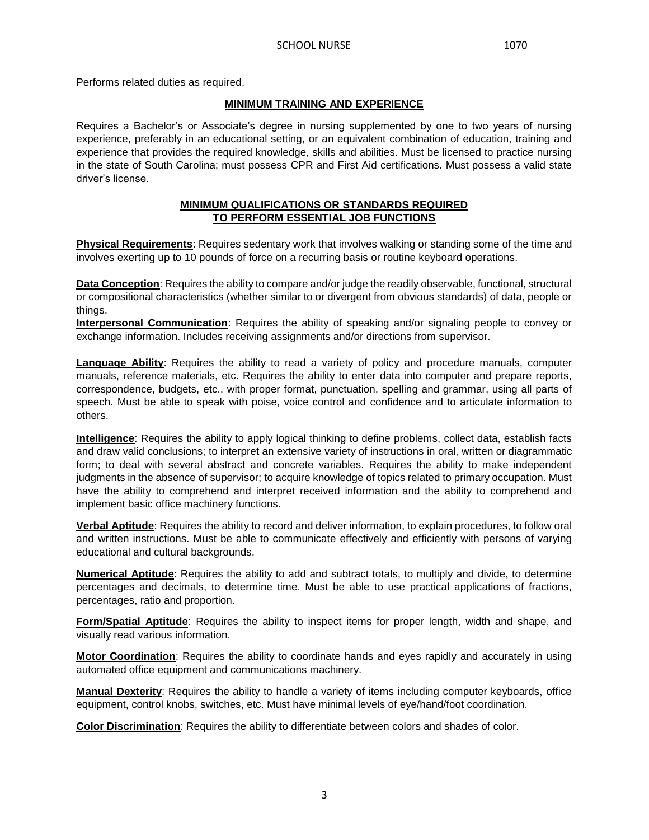Performs related duties as required.

## **MINIMUM TRAINING AND EXPERIENCE**

Requires a Bachelor's or Associate's degree in nursing supplemented by one to two years of nursing experience, preferably in an educational setting, or an equivalent combination of education, training and experience that provides the required knowledge, skills and abilities. Must be licensed to practice nursing in the state of South Carolina; must possess CPR and First Aid certifications. Must possess a valid state driver's license.

## **MINIMUM QUALIFICATIONS OR STANDARDS REQUIRED TO PERFORM ESSENTIAL JOB FUNCTIONS**

**Physical Requirements**: Requires sedentary work that involves walking or standing some of the time and involves exerting up to 10 pounds of force on a recurring basis or routine keyboard operations.

**Data Conception**: Requires the ability to compare and/or judge the readily observable, functional, structural or compositional characteristics (whether similar to or divergent from obvious standards) of data, people or things.

**Interpersonal Communication**: Requires the ability of speaking and/or signaling people to convey or exchange information. Includes receiving assignments and/or directions from supervisor.

**Language Ability**: Requires the ability to read a variety of policy and procedure manuals, computer manuals, reference materials, etc. Requires the ability to enter data into computer and prepare reports, correspondence, budgets, etc., with proper format, punctuation, spelling and grammar, using all parts of speech. Must be able to speak with poise, voice control and confidence and to articulate information to others.

**Intelligence**: Requires the ability to apply logical thinking to define problems, collect data, establish facts and draw valid conclusions; to interpret an extensive variety of instructions in oral, written or diagrammatic form; to deal with several abstract and concrete variables. Requires the ability to make independent judgments in the absence of supervisor; to acquire knowledge of topics related to primary occupation. Must have the ability to comprehend and interpret received information and the ability to comprehend and implement basic office machinery functions.

**Verbal Aptitude**: Requires the ability to record and deliver information, to explain procedures, to follow oral and written instructions. Must be able to communicate effectively and efficiently with persons of varying educational and cultural backgrounds.

**Numerical Aptitude**: Requires the ability to add and subtract totals, to multiply and divide, to determine percentages and decimals, to determine time. Must be able to use practical applications of fractions, percentages, ratio and proportion.

**Form/Spatial Aptitude**: Requires the ability to inspect items for proper length, width and shape, and visually read various information.

**Motor Coordination**: Requires the ability to coordinate hands and eyes rapidly and accurately in using automated office equipment and communications machinery.

**Manual Dexterity**: Requires the ability to handle a variety of items including computer keyboards, office equipment, control knobs, switches, etc. Must have minimal levels of eye/hand/foot coordination.

**Color Discrimination**: Requires the ability to differentiate between colors and shades of color.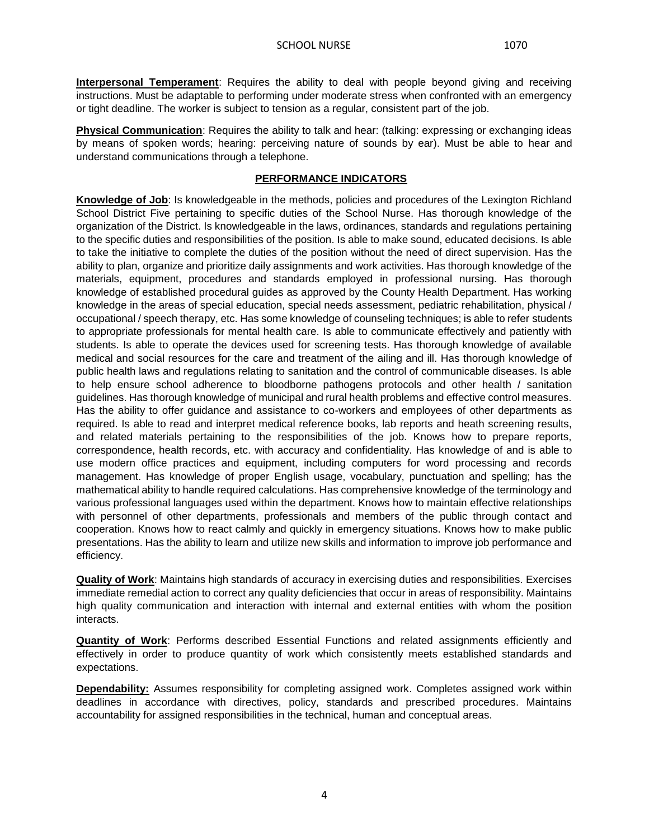**Interpersonal Temperament**: Requires the ability to deal with people beyond giving and receiving instructions. Must be adaptable to performing under moderate stress when confronted with an emergency or tight deadline. The worker is subject to tension as a regular, consistent part of the job.

**Physical Communication**: Requires the ability to talk and hear: (talking: expressing or exchanging ideas by means of spoken words; hearing: perceiving nature of sounds by ear). Must be able to hear and understand communications through a telephone.

# **PERFORMANCE INDICATORS**

**Knowledge of Job**: Is knowledgeable in the methods, policies and procedures of the Lexington Richland School District Five pertaining to specific duties of the School Nurse. Has thorough knowledge of the organization of the District. Is knowledgeable in the laws, ordinances, standards and regulations pertaining to the specific duties and responsibilities of the position. Is able to make sound, educated decisions. Is able to take the initiative to complete the duties of the position without the need of direct supervision. Has the ability to plan, organize and prioritize daily assignments and work activities. Has thorough knowledge of the materials, equipment, procedures and standards employed in professional nursing. Has thorough knowledge of established procedural guides as approved by the County Health Department. Has working knowledge in the areas of special education, special needs assessment, pediatric rehabilitation, physical / occupational / speech therapy, etc. Has some knowledge of counseling techniques; is able to refer students to appropriate professionals for mental health care. Is able to communicate effectively and patiently with students. Is able to operate the devices used for screening tests. Has thorough knowledge of available medical and social resources for the care and treatment of the ailing and ill. Has thorough knowledge of public health laws and regulations relating to sanitation and the control of communicable diseases. Is able to help ensure school adherence to bloodborne pathogens protocols and other health / sanitation guidelines. Has thorough knowledge of municipal and rural health problems and effective control measures. Has the ability to offer guidance and assistance to co-workers and employees of other departments as required. Is able to read and interpret medical reference books, lab reports and heath screening results, and related materials pertaining to the responsibilities of the job. Knows how to prepare reports, correspondence, health records, etc. with accuracy and confidentiality. Has knowledge of and is able to use modern office practices and equipment, including computers for word processing and records management. Has knowledge of proper English usage, vocabulary, punctuation and spelling; has the mathematical ability to handle required calculations. Has comprehensive knowledge of the terminology and various professional languages used within the department. Knows how to maintain effective relationships with personnel of other departments, professionals and members of the public through contact and cooperation. Knows how to react calmly and quickly in emergency situations. Knows how to make public presentations. Has the ability to learn and utilize new skills and information to improve job performance and efficiency.

**Quality of Work**: Maintains high standards of accuracy in exercising duties and responsibilities. Exercises immediate remedial action to correct any quality deficiencies that occur in areas of responsibility. Maintains high quality communication and interaction with internal and external entities with whom the position interacts.

**Quantity of Work**: Performs described Essential Functions and related assignments efficiently and effectively in order to produce quantity of work which consistently meets established standards and expectations.

**Dependability:** Assumes responsibility for completing assigned work. Completes assigned work within deadlines in accordance with directives, policy, standards and prescribed procedures. Maintains accountability for assigned responsibilities in the technical, human and conceptual areas.